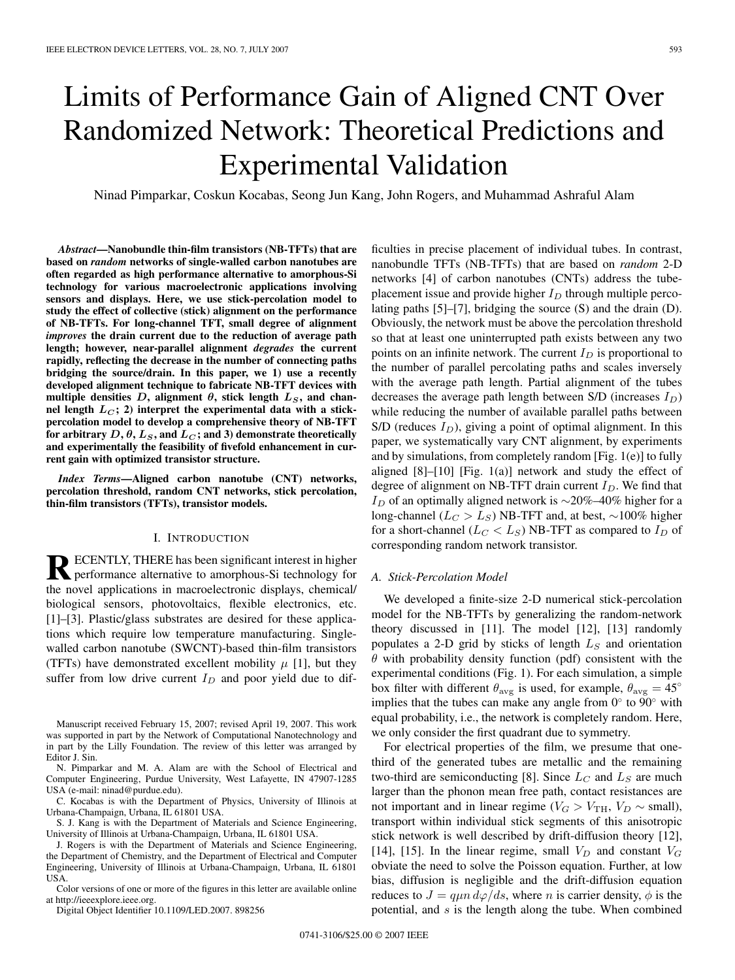# Limits of Performance Gain of Aligned CNT Over Randomized Network: Theoretical Predictions and Experimental Validation

Ninad Pimparkar, Coskun Kocabas, Seong Jun Kang, John Rogers, and Muhammad Ashraful Alam

*Abstract***—Nanobundle thin-film transistors (NB-TFTs) that are based on** *random* **networks of single-walled carbon nanotubes are often regarded as high performance alternative to amorphous-Si technology for various macroelectronic applications involving sensors and displays. Here, we use stick-percolation model to study the effect of collective (stick) alignment on the performance of NB-TFTs. For long-channel TFT, small degree of alignment** *improves* **the drain current due to the reduction of average path length; however, near-parallel alignment** *degrades* **the current rapidly, reflecting the decrease in the number of connecting paths bridging the source/drain. In this paper, we 1) use a recently developed alignment technique to fabricate NB-TFT devices with** multiple densities  $D$ , alignment  $\theta$ , stick length  $L_S$ , and chan**nel length** *L<sup>C</sup>* **; 2) interpret the experimental data with a stickpercolation model to develop a comprehensive theory of NB-TFT** for arbitrary  $D$ ,  $\theta$ ,  $L_S$ , and  $L_C$ ; and 3) demonstrate theoretically **and experimentally the feasibility of fivefold enhancement in current gain with optimized transistor structure.**

*Index Terms***—Aligned carbon nanotube (CNT) networks, percolation threshold, random CNT networks, stick percolation, thin-film transistors (TFTs), transistor models.**

### I. INTRODUCTION

**RECENTLY, THERE has been significant interest in higher** performance alternative to amorphous-Si technology for the novel applications in macroelectronic displays, chemical/ biological sensors, photovoltaics, flexible electronics, etc. [1]–[3]. Plastic/glass substrates are desired for these applications which require low temperature manufacturing. Singlewalled carbon nanotube (SWCNT)-based thin-film transistors (TFTs) have demonstrated excellent mobility  $\mu$  [1], but they suffer from low drive current  $I_D$  and poor yield due to dif-

Manuscript received February 15, 2007; revised April 19, 2007. This work was supported in part by the Network of Computational Nanotechnology and in part by the Lilly Foundation. The review of this letter was arranged by Editor J. Sin.

N. Pimparkar and M. A. Alam are with the School of Electrical and Computer Engineering, Purdue University, West Lafayette, IN 47907-1285 USA (e-mail: ninad@purdue.edu).

C. Kocabas is with the Department of Physics, University of Illinois at Urbana-Champaign, Urbana, IL 61801 USA.

S. J. Kang is with the Department of Materials and Science Engineering, University of Illinois at Urbana-Champaign, Urbana, IL 61801 USA.

J. Rogers is with the Department of Materials and Science Engineering, the Department of Chemistry, and the Department of Electrical and Computer Engineering, University of Illinois at Urbana-Champaign, Urbana, IL 61801 USA.

Color versions of one or more of the figures in this letter are available online at http://ieeexplore.ieee.org.

Digital Object Identifier 10.1109/LED.2007. 898256

ficulties in precise placement of individual tubes. In contrast, nanobundle TFTs (NB-TFTs) that are based on *random* 2-D networks [4] of carbon nanotubes (CNTs) address the tubeplacement issue and provide higher I*<sup>D</sup>* through multiple percolating paths [5]–[7], bridging the source (S) and the drain (D). Obviously, the network must be above the percolation threshold so that at least one uninterrupted path exists between any two points on an infinite network. The current  $I_D$  is proportional to the number of parallel percolating paths and scales inversely with the average path length. Partial alignment of the tubes decreases the average path length between S/D (increases I*D*) while reducing the number of available parallel paths between  $S/D$  (reduces  $I_D$ ), giving a point of optimal alignment. In this paper, we systematically vary CNT alignment, by experiments and by simulations, from completely random [Fig. 1(e)] to fully aligned [8]–[10] [Fig. 1(a)] network and study the effect of degree of alignment on NB-TFT drain current I*D*. We find that <sup>I</sup>*<sup>D</sup>* of an optimally aligned network is <sup>∼</sup>20%–40% higher for a long-channel (L*<sup>C</sup>* > L*S*) NB-TFT and, at best, <sup>∼</sup>100% higher for a short-channel ( $L_C < L_S$ ) NB-TFT as compared to  $I_D$  of corresponding random network transistor.

## *A. Stick-Percolation Model*

We developed a finite-size 2-D numerical stick-percolation model for the NB-TFTs by generalizing the random-network theory discussed in [11]. The model [12], [13] randomly populates a 2-D grid by sticks of length L*<sup>S</sup>* and orientation  $\theta$  with probability density function (pdf) consistent with the experimental conditions (Fig. 1). For each simulation, a simple box filter with different  $\theta_{\text{avg}}$  is used, for example,  $\theta_{\text{avg}} = 45^{\circ}$ implies that the tubes can make any angle from  $0°$  to  $90°$  with equal probability, i.e., the network is completely random. Here, we only consider the first quadrant due to symmetry.

For electrical properties of the film, we presume that onethird of the generated tubes are metallic and the remaining two-third are semiconducting [8]. Since L*<sup>C</sup>* and L*<sup>S</sup>* are much larger than the phonon mean free path, contact resistances are not important and in linear regime ( $V_G > V_{TH}$ ,  $V_D \sim$  small), transport within individual stick segments of this anisotropic stick network is well described by drift-diffusion theory [12], [14], [15]. In the linear regime, small  $V_D$  and constant  $V_G$ obviate the need to solve the Poisson equation. Further, at low bias, diffusion is negligible and the drift-diffusion equation reduces to  $J = q\mu n \, d\varphi/ds$ , where n is carrier density,  $\phi$  is the potential, and  $s$  is the length along the tube. When combined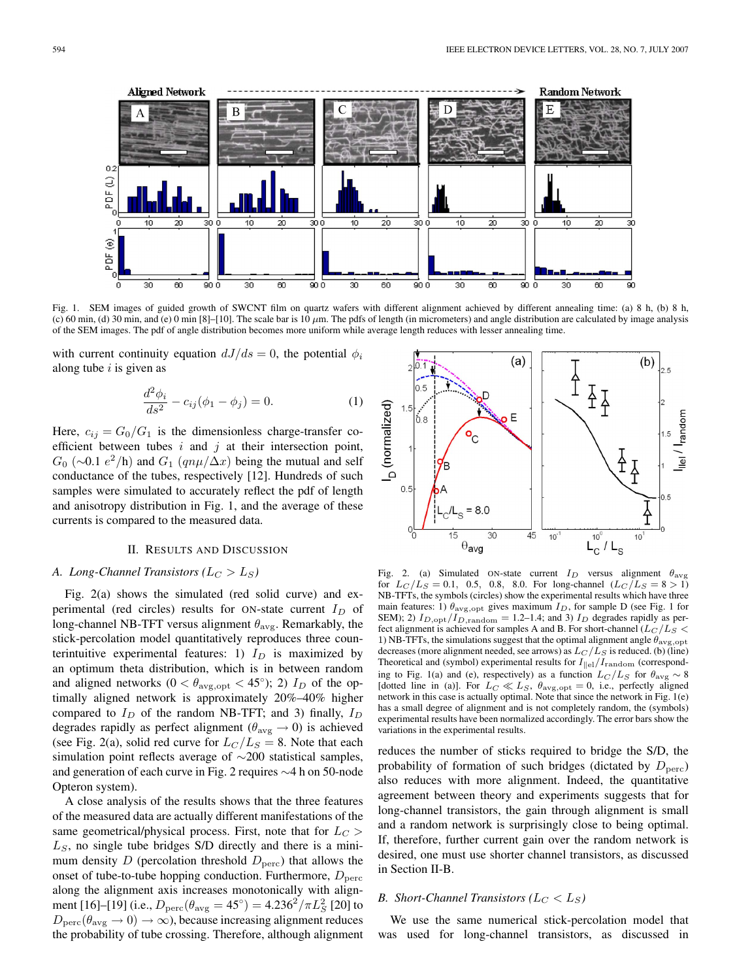

Fig. 1. SEM images of guided growth of SWCNT film on quartz wafers with different alignment achieved by different annealing time: (a) 8 h, (b) 8 h, (c) 60 min, (d) 30 min, and (e) 0 min [8]–[10]. The scale bar is 10  $\mu$ m. The pdfs of length (in micrometers) and angle distribution are calculated by image analysis of the SEM images. The pdf of angle distribution becomes more uniform while average length reduces with lesser annealing time.

with current continuity equation  $dJ/ds = 0$ , the potential  $\phi_i$ along tube  $i$  is given as

$$
\frac{d^2\phi_i}{ds^2} - c_{ij}(\phi_1 - \phi_j) = 0.
$$
 (1)

Here,  $c_{ij} = G_0/G_1$  is the dimensionless charge-transfer coefficient between tubes  $i$  and  $j$  at their intersection point,  $G_0$  (∼0.1  $e^2$ /h) and  $G_1$  ( $qn\mu/\Delta x$ ) being the mutual and self conductance of the tubes, respectively [12]. Hundreds of such samples were simulated to accurately reflect the pdf of length and anisotropy distribution in Fig. 1, and the average of these currents is compared to the measured data.

## II. RESULTS AND DISCUSSION

## *A. Long-Channel Transistors* ( $L_C > L_S$ )

Fig. 2(a) shows the simulated (red solid curve) and experimental (red circles) results for ON-state current I*<sup>D</sup>* of long-channel NB-TFT versus alignment  $\theta_{\text{avg}}$ . Remarkably, the stick-percolation model quantitatively reproduces three counterintuitive experimental features: 1)  $I_D$  is maximized by an optimum theta distribution, which is in between random and aligned networks  $(0 < \theta_{\text{avg,opt}} < 45^{\circ})$ ; 2)  $I_D$  of the optimally aligned network is approximately 20%–40% higher compared to I*<sup>D</sup>* of the random NB-TFT; and 3) finally, I*<sup>D</sup>* degrades rapidly as perfect alignment ( $\theta_{\text{avg}} \rightarrow 0$ ) is achieved (see Fig. 2(a), solid red curve for  $L_C/L_S = 8$ . Note that each simulation point reflects average of ∼200 statistical samples, and generation of each curve in Fig. 2 requires ∼4 h on 50-node Opteron system).

A close analysis of the results shows that the three features of the measured data are actually different manifestations of the same geometrical/physical process. First, note that for  $L_C$ L*S*, no single tube bridges S/D directly and there is a minimum density D (percolation threshold  $D<sub>perc</sub>$ ) that allows the onset of tube-to-tube hopping conduction. Furthermore,  $D<sub>perc</sub>$ along the alignment axis increases monotonically with alignment [16]–[19] (i.e.,  $D_{\text{perc}}(\theta_{\text{avg}} = 45^{\circ}) = 4.236^2 / \pi L_S^2$  [20] to  $D_{\rm perc}(\theta_{\rm avg}\to 0)\to \infty$ ), because increasing alignment reduces the probability of tube crossing. Therefore, although alignment



Fig. 2. (a) Simulated ON-state current I*<sup>D</sup>* versus alignment θavg for  $L_C/L_S = 0.1$ , 0.5, 0.8, 8.0. For long-channel  $(L_C/L_S = 8 > 1)$ NB-TFTs, the symbols (circles) show the experimental results which have three main features: 1)  $\theta_{\text{avg,opt}}$  gives maximum  $I_D$ , for sample D (see Fig. 1 for SEM); 2)  $I_{D,\text{opt}}/I_{D,\text{random}} = 1.2-1.4$ ; and 3)  $I_D$  degrades rapidly as perfect alignment is achieved for samples A and B. For short-channel  $(L_C/L_S <$ 1) NB-TFTs, the simulations suggest that the optimal alignment angle θavg*,*opt decreases (more alignment needed, see arrows) as L*<sup>C</sup>* /L*<sup>S</sup>* is reduced. (b) (line) Theoretical and (symbol) experimental results for  $I_{\parallel e l}/I_{\text{random}}$  (corresponding to Fig. 1(a) and (e), respectively) as a function  $L_C/L_S$  for  $\theta_{\text{avg}} \sim 8$ [dotted line in (a)]. For  $L_C \ll L_S$ ,  $\theta_{\text{avg,opt}} = 0$ , i.e., perfectly aligned network in this case is actually optimal. Note that since the network in Fig. 1(e) has a small degree of alignment and is not completely random, the (symbols) experimental results have been normalized accordingly. The error bars show the variations in the experimental results.

reduces the number of sticks required to bridge the S/D, the probability of formation of such bridges (dictated by  $D<sub>perc</sub>$ ) also reduces with more alignment. Indeed, the quantitative agreement between theory and experiments suggests that for long-channel transistors, the gain through alignment is small and a random network is surprisingly close to being optimal. If, therefore, further current gain over the random network is desired, one must use shorter channel transistors, as discussed in Section II-B.

## *B. Short-Channel Transistors* ( $L_C < L_S$ )

We use the same numerical stick-percolation model that was used for long-channel transistors, as discussed in